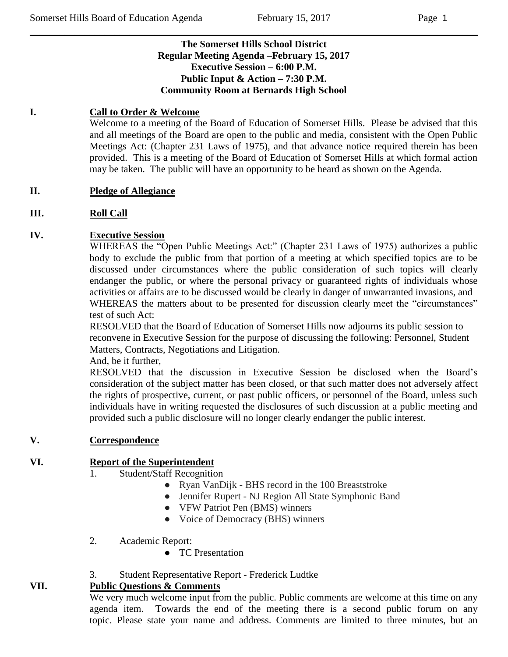## **The Somerset Hills School District Regular Meeting Agenda –February 15, 2017 Executive Session – 6:00 P.M. Public Input & Action – 7:30 P.M. Community Room at Bernards High School**

 $\_$  , and the set of the set of the set of the set of the set of the set of the set of the set of the set of the set of the set of the set of the set of the set of the set of the set of the set of the set of the set of th

## **I. Call to Order & Welcome**

Welcome to a meeting of the Board of Education of Somerset Hills. Please be advised that this and all meetings of the Board are open to the public and media, consistent with the Open Public Meetings Act: (Chapter 231 Laws of 1975), and that advance notice required therein has been provided. This is a meeting of the Board of Education of Somerset Hills at which formal action may be taken. The public will have an opportunity to be heard as shown on the Agenda.

## **II. Pledge of Allegiance**

## **III. Roll Call**

## **IV. Executive Session**

WHEREAS the "Open Public Meetings Act:" (Chapter 231 Laws of 1975) authorizes a public body to exclude the public from that portion of a meeting at which specified topics are to be discussed under circumstances where the public consideration of such topics will clearly endanger the public, or where the personal privacy or guaranteed rights of individuals whose activities or affairs are to be discussed would be clearly in danger of unwarranted invasions, and WHEREAS the matters about to be presented for discussion clearly meet the "circumstances" test of such Act:

RESOLVED that the Board of Education of Somerset Hills now adjourns its public session to reconvene in Executive Session for the purpose of discussing the following: Personnel, Student Matters, Contracts, Negotiations and Litigation.

And, be it further,

RESOLVED that the discussion in Executive Session be disclosed when the Board's consideration of the subject matter has been closed, or that such matter does not adversely affect the rights of prospective, current, or past public officers, or personnel of the Board, unless such individuals have in writing requested the disclosures of such discussion at a public meeting and provided such a public disclosure will no longer clearly endanger the public interest.

### **V. Correspondence**

## **VI. Report of the Superintendent**

- 1. Student/Staff Recognition
	- Ryan VanDijk BHS record in the 100 Breaststroke
	- Jennifer Rupert NJ Region All State Symphonic Band
	- VFW Patriot Pen (BMS) winners
	- Voice of Democracy (BHS) winners
- 2. Academic Report:
	- TC Presentation
- 3. Student Representative Report Frederick Ludtke

# **VII. Public Questions & Comments**

We very much welcome input from the public. Public comments are welcome at this time on any agenda item. Towards the end of the meeting there is a second public forum on any topic. Please state your name and address. Comments are limited to three minutes, but an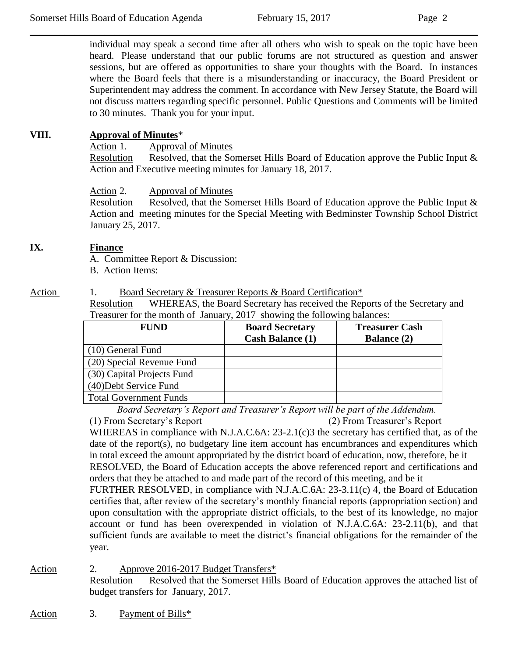individual may speak a second time after all others who wish to speak on the topic have been heard. Please understand that our public forums are not structured as question and answer sessions, but are offered as opportunities to share your thoughts with the Board. In instances where the Board feels that there is a misunderstanding or inaccuracy, the Board President or Superintendent may address the comment. In accordance with New Jersey Statute, the Board will not discuss matters regarding specific personnel. Public Questions and Comments will be limited to 30 minutes. Thank you for your input.

 $\_$  , and the set of the set of the set of the set of the set of the set of the set of the set of the set of the set of the set of the set of the set of the set of the set of the set of the set of the set of the set of th

## **VIII. Approval of Minutes**\*

Action 1. Approval of Minutes

Resolution Resolved, that the Somerset Hills Board of Education approve the Public Input & Action and Executive meeting minutes for January 18, 2017.

Action 2. Approval of Minutes

Resolution Resolved, that the Somerset Hills Board of Education approve the Public Input & Action and meeting minutes for the Special Meeting with Bedminster Township School District January 25, 2017.

### **IX. Finance**

A. Committee Report & Discussion:

B. Action Items:

#### Action 1. Board Secretary & Treasurer Reports & Board Certification\*

Resolution WHEREAS, the Board Secretary has received the Reports of the Secretary and Treasurer for the month of January, 2017 showing the following balances:

| <b>FUND</b>                   | <b>Board Secretary</b><br><b>Cash Balance (1)</b> | <b>Treasurer Cash</b><br><b>Balance</b> (2) |
|-------------------------------|---------------------------------------------------|---------------------------------------------|
| (10) General Fund             |                                                   |                                             |
| (20) Special Revenue Fund     |                                                   |                                             |
| (30) Capital Projects Fund    |                                                   |                                             |
| (40) Debt Service Fund        |                                                   |                                             |
| <b>Total Government Funds</b> |                                                   |                                             |

*Board Secretary's Report and Treasurer's Report will be part of the Addendum.*

(1) From Secretary's Report (2) From Treasurer's Report WHEREAS in compliance with N.J.A.C.6A: 23-2.1(c)3 the secretary has certified that, as of the date of the report(s), no budgetary line item account has encumbrances and expenditures which in total exceed the amount appropriated by the district board of education, now, therefore, be it RESOLVED, the Board of Education accepts the above referenced report and certifications and orders that they be attached to and made part of the record of this meeting, and be it FURTHER RESOLVED, in compliance with N.J.A.C.6A: 23-3.11(c) 4, the Board of Education certifies that, after review of the secretary's monthly financial reports (appropriation section) and upon consultation with the appropriate district officials, to the best of its knowledge, no major account or fund has been overexpended in violation of N.J.A.C.6A: 23-2.11(b), and that sufficient funds are available to meet the district's financial obligations for the remainder of the year.

#### Action 2. Approve 2016-2017 Budget Transfers\* Resolution Resolved that the Somerset Hills Board of Education approves the attached list of budget transfers for January, 2017.

Action 3. Payment of Bills\*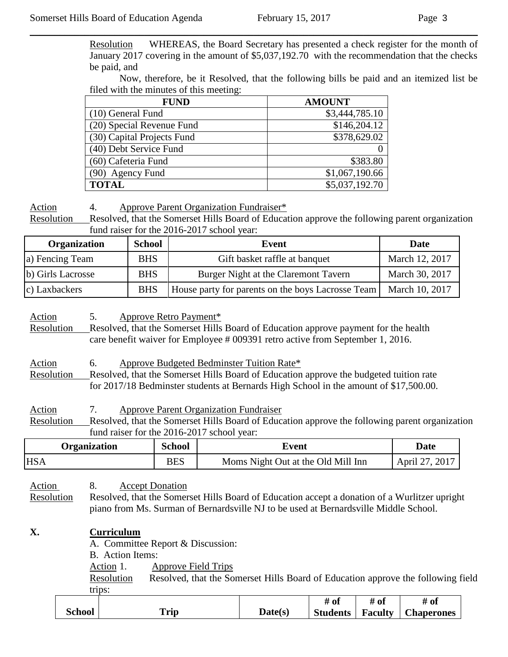Resolution WHEREAS, the Board Secretary has presented a check register for the month of January 2017 covering in the amount of \$5,037,192.70 with the recommendation that the checks be paid, and

 $\_$  , and the set of the set of the set of the set of the set of the set of the set of the set of the set of the set of the set of the set of the set of the set of the set of the set of the set of the set of the set of th

Now, therefore, be it Resolved, that the following bills be paid and an itemized list be filed with the minutes of this meeting:

| <b>FUND</b>                | <b>AMOUNT</b>  |
|----------------------------|----------------|
| (10) General Fund          | \$3,444,785.10 |
| (20) Special Revenue Fund  | \$146,204.12   |
| (30) Capital Projects Fund | \$378,629.02   |
| (40) Debt Service Fund     |                |
| (60) Cafeteria Fund        | \$383.80       |
| (90) Agency Fund           | \$1,067,190.66 |
| <b>TOTAL</b>               | \$5,037,192.70 |

Action 4. Approve Parent Organization Fundraiser\*

Resolution Resolved, that the Somerset Hills Board of Education approve the following parent organization fund raiser for the 2016-2017 school year:

| <b>Organization</b> | <b>School</b> | Event                                             | Date           |
|---------------------|---------------|---------------------------------------------------|----------------|
| a) Fencing Team     | <b>BHS</b>    | Gift basket raffle at banquet                     | March 12, 2017 |
| b) Girls Lacrosse   | <b>BHS</b>    | Burger Night at the Claremont Tavern              | March 30, 2017 |
| c) Laxbackers       | <b>BHS</b>    | House party for parents on the boys Lacrosse Team | March 10, 2017 |

Action 5. Approve Retro Payment\* Resolution Resolved, that the Somerset Hills Board of Education approve payment for the health care benefit waiver for Employee # 009391 retro active from September 1, 2016.

Action 6. Approve Budgeted Bedminster Tuition Rate\* Resolution Resolved, that the Somerset Hills Board of Education approve the budgeted tuition rate for 2017/18 Bedminster students at Bernards High School in the amount of \$17,500.00.

Action 7. Approve Parent Organization Fundraiser Resolution Resolved, that the Somerset Hills Board of Education approve the following parent organization fund raiser for the 2016-2017 school year:

| <b>School</b><br><b>Organization</b><br>Event |            |                                    | Date           |
|-----------------------------------------------|------------|------------------------------------|----------------|
| <b>HSA</b>                                    | <b>BES</b> | Moms Night Out at the Old Mill Inn | April 27, 2017 |

Action 8. Accept Donation

Resolution Resolved, that the Somerset Hills Board of Education accept a donation of a Wurlitzer upright piano from Ms. Surman of Bernardsville NJ to be used at Bernardsville Middle School.

## **X. Curriculum** A. Committee Report & Discussion: B. Action Items: Action 1. Approve Field Trips

Resolution Resolved, that the Somerset Hills Board of Education approve the following field trips:

|        |             |         | ` 01            | $\sim$<br>$\boldsymbol{\pi}$<br>ึ∪⊾ | 7 Ol              |
|--------|-------------|---------|-----------------|-------------------------------------|-------------------|
| School | <b>Trip</b> | Date(s' | <b>Students</b> | <b>Faculty</b>                      | <b>Chaperones</b> |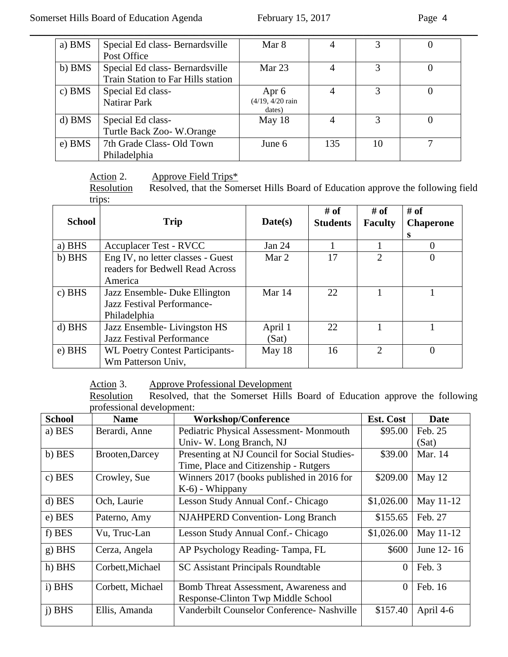| a) BMS | Special Ed class-Bernardsville     | Mar 8                                 | 4              |    |  |
|--------|------------------------------------|---------------------------------------|----------------|----|--|
|        | Post Office                        |                                       |                |    |  |
| b) BMS | Special Ed class-Bernardsville     | Mar $23$                              | 4              |    |  |
|        | Train Station to Far Hills station |                                       |                |    |  |
| c) BMS | Special Ed class-                  | Apr 6                                 | 4              | 3  |  |
|        | Natirar Park                       | $(4/19, 4/20 \text{ rain})$<br>dates) |                |    |  |
| d) BMS | Special Ed class-                  | May 18                                | $\overline{4}$ | 3  |  |
|        | Turtle Back Zoo-W.Orange           |                                       |                |    |  |
| e) BMS | 7th Grade Class- Old Town          | June $6$                              | 135            | 10 |  |
|        | Philadelphia                       |                                       |                |    |  |

# Action 2. Approve Field Trips\*

Resolution Resolved, that the Somerset Hills Board of Education approve the following field trips:

| <b>School</b> | <b>Trip</b>                                                                     | Date(s)          | $#$ of<br><b>Students</b> | # of<br><b>Faculty</b>      | $#$ of<br><b>Chaperone</b><br>s |
|---------------|---------------------------------------------------------------------------------|------------------|---------------------------|-----------------------------|---------------------------------|
| a) BHS        | Accuplacer Test - RVCC                                                          | Jan 24           |                           |                             |                                 |
| b) BHS        | Eng IV, no letter classes - Guest<br>readers for Bedwell Read Across<br>America | Mar 2            | 17                        | $\mathcal{D}_{\mathcal{L}}$ | 0                               |
| $c)$ BHS      | Jazz Ensemble- Duke Ellington<br>Jazz Festival Performance-<br>Philadelphia     | Mar 14           | 22                        |                             |                                 |
| $d)$ BHS      | Jazz Ensemble-Livingston HS<br><b>Jazz Festival Performance</b>                 | April 1<br>(Sat) | 22                        |                             |                                 |
| e) BHS        | <b>WL Poetry Contest Participants-</b><br>Wm Patterson Univ,                    | May 18           | 16                        | $\mathcal{D}_{\mathcal{L}}$ | 0                               |

Action 3. Approve Professional Development<br>Resolution Resolved, that the Somerset Hills Resolved, that the Somerset Hills Board of Education approve the following professional development:

| <b>School</b> | <b>Name</b>      | <b>Workshop/Conference</b>                   | Est. Cost  | <b>Date</b> |
|---------------|------------------|----------------------------------------------|------------|-------------|
| a) BES        | Berardi, Anne    | Pediatric Physical Assessment-Monmouth       | \$95.00    | Feb. 25     |
|               |                  | Univ-W. Long Branch, NJ                      |            | (Sat)       |
| b) BES        | Brooten, Darcey  | Presenting at NJ Council for Social Studies- | \$39.00    | Mar. 14     |
|               |                  | Time, Place and Citizenship - Rutgers        |            |             |
| c) BES        | Crowley, Sue     | Winners 2017 (books published in 2016 for    | \$209.00   | May 12      |
|               |                  | K-6) - Whippany                              |            |             |
| d) BES        | Och, Laurie      | Lesson Study Annual Conf. - Chicago          | \$1,026.00 | May 11-12   |
| e) BES        | Paterno, Amy     | <b>NJAHPERD Convention-Long Branch</b>       | \$155.65   | Feb. 27     |
| f) BES        | Vu, Truc-Lan     | Lesson Study Annual Conf. - Chicago          | \$1,026.00 | May 11-12   |
| $g$ ) BHS     | Cerza, Angela    | AP Psychology Reading-Tampa, FL              | \$600      | June 12-16  |
| h) BHS        | Corbett, Michael | <b>SC Assistant Principals Roundtable</b>    | $\Omega$   | Feb. 3      |
| i) BHS        | Corbett, Michael | Bomb Threat Assessment, Awareness and        | $\Omega$   | Feb. 16     |
|               |                  | Response-Clinton Twp Middle School           |            |             |
| i) BHS        | Ellis, Amanda    | Vanderbilt Counselor Conference- Nashville   | \$157.40   | April 4-6   |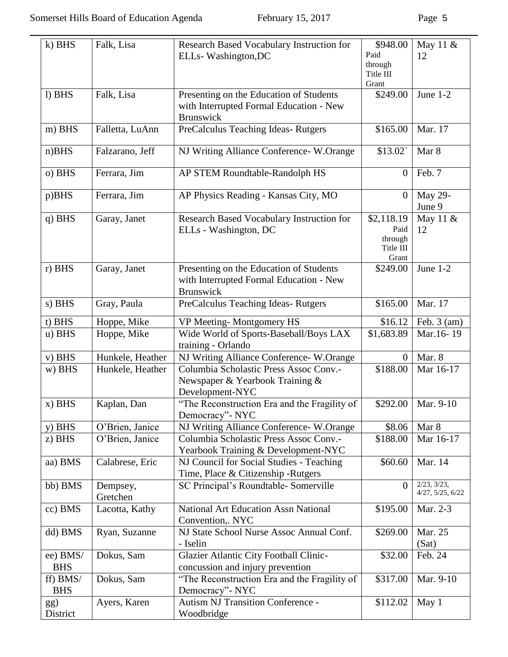| k) BHS                 | Falk, Lisa                                     | Research Based Vocabulary Instruction for<br>ELLs-Washington, DC                                       | \$948.00<br>Paid                                    | May 11 &<br>12                  |
|------------------------|------------------------------------------------|--------------------------------------------------------------------------------------------------------|-----------------------------------------------------|---------------------------------|
|                        |                                                |                                                                                                        | through<br>Title III<br>Grant                       |                                 |
| l) BHS                 | Falk, Lisa                                     | Presenting on the Education of Students<br>with Interrupted Formal Education - New<br><b>Brunswick</b> | \$249.00                                            | June $1-2$                      |
| m) BHS                 | Falletta, LuAnn                                | PreCalculus Teaching Ideas-Rutgers                                                                     | \$165.00                                            | Mar. 17                         |
| $n)$ BHS               | Falzarano, Jeff                                | NJ Writing Alliance Conference- W.Orange                                                               | \$13.02                                             | Mar 8                           |
| o) BHS                 | Ferrara, Jim<br>AP STEM Roundtable-Randolph HS |                                                                                                        |                                                     |                                 |
| p)BHS                  | Ferrara, Jim                                   | AP Physics Reading - Kansas City, MO                                                                   | $\overline{0}$                                      | May 29-<br>June 9               |
| $q$ ) BHS              | Garay, Janet                                   | Research Based Vocabulary Instruction for<br>ELLs - Washington, DC                                     | \$2,118.19<br>Paid<br>through<br>Title III<br>Grant | May 11 &<br>12                  |
| r) BHS                 | Garay, Janet                                   | Presenting on the Education of Students<br>with Interrupted Formal Education - New<br><b>Brunswick</b> | \$249.00                                            | June 1-2                        |
| s) BHS                 | Gray, Paula                                    | PreCalculus Teaching Ideas-Rutgers                                                                     | \$165.00                                            | Mar. 17                         |
| t) BHS                 | Hoppe, Mike                                    | VP Meeting-Montgomery HS                                                                               | \$16.12                                             | Feb. $3 \text{ (am)}$           |
| u) BHS                 | Hoppe, Mike                                    | Wide World of Sports-Baseball/Boys LAX<br>training - Orlando                                           | \$1,683.89                                          | Mar.16-19                       |
| $v)$ BHS               | Hunkele, Heather                               | NJ Writing Alliance Conference- W.Orange                                                               | $\theta$                                            | Mar. 8                          |
| w) BHS                 | Hunkele, Heather                               | Columbia Scholastic Press Assoc Conv.-<br>Newspaper & Yearbook Training &<br>Development-NYC           | \$188.00                                            | Mar 16-17                       |
| $x)$ BHS               | Kaplan, Dan                                    | "The Reconstruction Era and the Fragility of<br>Democracy"- NYC                                        | \$292.00                                            | Mar. 9-10                       |
| $y)$ BHS               | O'Brien, Janice                                | NJ Writing Alliance Conference-W.Orange                                                                | \$8.06                                              | Mar 8                           |
| z) BHS                 | O'Brien, Janice                                | Columbia Scholastic Press Assoc Conv.-<br>Yearbook Training & Development-NYC                          | \$188.00                                            | Mar 16-17                       |
| aa) BMS                | Calabrese, Eric                                | NJ Council for Social Studies - Teaching<br>Time, Place & Citizenship - Rutgers                        | \$60.60                                             | Mar. 14                         |
| bb) BMS                | Dempsey,<br>Gretchen                           | SC Principal's Roundtable-Somerville                                                                   | $\Omega$                                            | 2/23, 3/23,<br>4/27, 5/25, 6/22 |
| cc) BMS                | Lacotta, Kathy                                 | <b>National Art Education Assn National</b><br>Convention,. NYC                                        | \$195.00                                            | Mar. 2-3                        |
| dd) BMS                | Ryan, Suzanne                                  | NJ State School Nurse Assoc Annual Conf.<br>- Iselin                                                   | \$269.00                                            | Mar. 25<br>(Sat)                |
| ee) BMS/<br><b>BHS</b> | Dokus, Sam                                     | <b>Glazier Atlantic City Football Clinic-</b><br>concussion and injury prevention                      | \$32.00                                             | Feb. 24                         |
| ff) BMS/<br><b>BHS</b> | Dokus, Sam                                     | "The Reconstruction Era and the Fragility of<br>Democracy"- NYC                                        | \$317.00                                            | Mar. 9-10                       |
| gg)<br>District        | Ayers, Karen                                   | <b>Autism NJ Transition Conference -</b><br>Woodbridge                                                 | \$112.02                                            | May 1                           |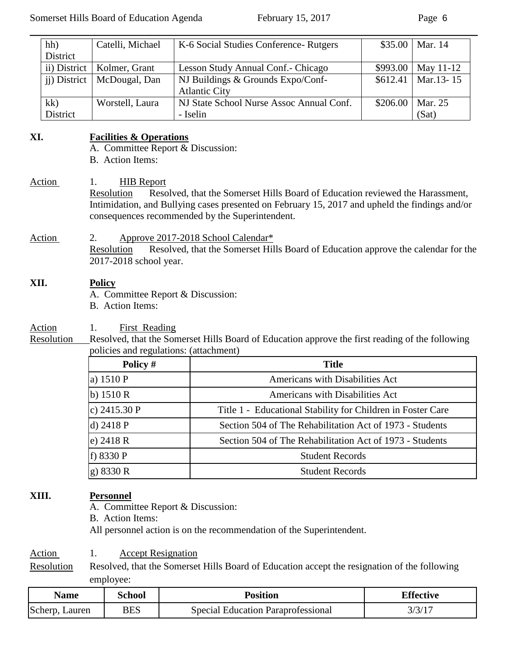| hh)                                                                                                                                                                                                     | District             | Catelli, Michael                                                                                                                            | K-6 Social Studies Conference-Rutgers                                                           | \$35.00  | Mar. 14   |  |
|---------------------------------------------------------------------------------------------------------------------------------------------------------------------------------------------------------|----------------------|---------------------------------------------------------------------------------------------------------------------------------------------|-------------------------------------------------------------------------------------------------|----------|-----------|--|
|                                                                                                                                                                                                         | ii) District         | Kolmer, Grant                                                                                                                               | Lesson Study Annual Conf.- Chicago                                                              | \$993.00 | May 11-12 |  |
|                                                                                                                                                                                                         | <i>ii</i> ) District | McDougal, Dan                                                                                                                               | NJ Buildings & Grounds Expo/Conf-<br><b>Atlantic City</b>                                       | \$612.41 | Mar.13-15 |  |
| kk)                                                                                                                                                                                                     |                      | Worstell, Laura                                                                                                                             | NJ State School Nurse Assoc Annual Conf.                                                        | \$206.00 | Mar. 25   |  |
|                                                                                                                                                                                                         | District             |                                                                                                                                             | - Iselin                                                                                        |          | (Sat)     |  |
| XI.<br>Action                                                                                                                                                                                           |                      | <b>Facilities &amp; Operations</b><br>A. Committee Report & Discussion:<br><b>B.</b> Action Items:<br><b>HIB</b> Report<br>1.<br>Resolution | Resolved, that the Somerset Hills Board of Education reviewed the Harassment,                   |          |           |  |
| Intimidation, and Bullying cases presented on February 15, 2017 and upheld the findings and/or<br>consequences recommended by the Superintendent.<br>Action<br>Approve 2017-2018 School Calendar*<br>2. |                      |                                                                                                                                             |                                                                                                 |          |           |  |
|                                                                                                                                                                                                         |                      | Resolution<br>2017-2018 school year.                                                                                                        | Resolved, that the Somerset Hills Board of Education approve the calendar for the               |          |           |  |
| XII.                                                                                                                                                                                                    |                      | <b>Policy</b><br>A. Committee Report & Discussion:<br>B. Action Items:                                                                      |                                                                                                 |          |           |  |
| Action                                                                                                                                                                                                  |                      | First Reading<br>1.                                                                                                                         |                                                                                                 |          |           |  |
| Resolution                                                                                                                                                                                              |                      |                                                                                                                                             | Resolved, that the Somerset Hills Board of Education approve the first reading of the following |          |           |  |
|                                                                                                                                                                                                         |                      | policies and regulations: (attachment)                                                                                                      |                                                                                                 |          |           |  |
|                                                                                                                                                                                                         |                      | Policy #                                                                                                                                    | <b>Title</b>                                                                                    |          |           |  |
|                                                                                                                                                                                                         |                      | a) 1510 P                                                                                                                                   | Americans with Disabilities Act                                                                 |          |           |  |
|                                                                                                                                                                                                         |                      | b) $1510R$                                                                                                                                  | Americans with Disabilities Act                                                                 |          |           |  |
|                                                                                                                                                                                                         |                      | c) 2415.30 P                                                                                                                                | Title 1 - Educational Stability for Children in Foster Care                                     |          |           |  |
|                                                                                                                                                                                                         |                      | d) 2418 P                                                                                                                                   | Section 504 of The Rehabilitation Act of 1973 - Students                                        |          |           |  |
|                                                                                                                                                                                                         |                      | e) $2418R$                                                                                                                                  | Section 504 of The Rehabilitation Act of 1973 - Students                                        |          |           |  |
|                                                                                                                                                                                                         |                      | f) 8330 P                                                                                                                                   | <b>Student Records</b>                                                                          |          |           |  |
|                                                                                                                                                                                                         |                      | g) 8330 R                                                                                                                                   | <b>Student Records</b>                                                                          |          |           |  |
| XIII.                                                                                                                                                                                                   |                      | <b>Personnel</b><br>A. Committee Report & Discussion:                                                                                       |                                                                                                 |          |           |  |

B. Action Items:

All personnel action is on the recommendation of the Superintendent.

Action 1. Accept Resignation

Resolution Resolved, that the Somerset Hills Board of Education accept the resignation of the following employee:

| Name              | School     | Position                                  | <b>Effective</b> |
|-------------------|------------|-------------------------------------------|------------------|
| Scherp,<br>Lauren | <b>BES</b> | <b>Special Education Paraprofessional</b> |                  |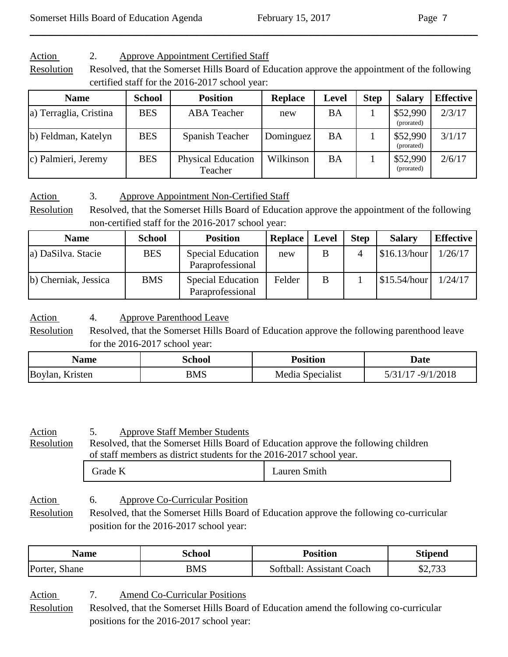Action 2. Approve Appointment Certified Staff

Resolution Resolved, that the Somerset Hills Board of Education approve the appointment of the following certified staff for the 2016-2017 school year:

 $\_$  , and the set of the set of the set of the set of the set of the set of the set of the set of the set of the set of the set of the set of the set of the set of the set of the set of the set of the set of the set of th

| <b>Name</b>            | <b>School</b> | <b>Position</b>                      | <b>Replace</b> | <b>Level</b> | <b>Step</b> | <b>Salary</b>          | <b>Effective</b> |
|------------------------|---------------|--------------------------------------|----------------|--------------|-------------|------------------------|------------------|
| a) Terraglia, Cristina | <b>BES</b>    | <b>ABA</b> Teacher                   | new            | BA           |             | \$52,990<br>(prorated) | 2/3/17           |
| b) Feldman, Katelyn    | <b>BES</b>    | Spanish Teacher                      | Dominguez      | BA           |             | \$52,990<br>(prorated) | 3/1/17           |
| c) Palmieri, Jeremy    | <b>BES</b>    | <b>Physical Education</b><br>Teacher | Wilkinson      | <b>BA</b>    |             | \$52,990<br>(prorated) | 2/6/17           |

Action 3. Approve Appointment Non-Certified Staff

Resolution Resolved, that the Somerset Hills Board of Education approve the appointment of the following non-certified staff for the 2016-2017 school year:

| <b>Name</b>          | <b>School</b> | <b>Position</b>                              | Replace | <b>Level</b> | <b>Step</b> | <b>Salary</b>            | <b>Effective</b> |
|----------------------|---------------|----------------------------------------------|---------|--------------|-------------|--------------------------|------------------|
| a) DaSilva. Stacie   | <b>BES</b>    | <b>Special Education</b><br>Paraprofessional | new     | В            |             | \$16.13/hour             | 1/26/17          |
| b) Cherniak, Jessica | <b>BMS</b>    | <b>Special Education</b><br>Paraprofessional | Felder  | B            |             | $\frac{\$15.54/hour}{ }$ | 1/24/17          |

Action 4. Approve Parenthood Leave

Resolution Resolved, that the Somerset Hills Board of Education approve the following parenthood leave for the 2016-2017 school year:

| Name            | School | <b>Position</b>  | <b>Date</b>              |
|-----------------|--------|------------------|--------------------------|
| Boylan, Kristen | BMS    | Media Specialist | /2018<br>$-Q/1$<br>5/31/ |

| <u>Action</u><br>Resolution | <b>Approve Staff Member Students</b><br>Resolved, that the Somerset Hills Board of Education approve the following children<br>of staff members as district students for the 2016-2017 school year. |              |
|-----------------------------|-----------------------------------------------------------------------------------------------------------------------------------------------------------------------------------------------------|--------------|
|                             | Grade K                                                                                                                                                                                             | Lauren Smith |
| $A$ otion                   | Approve Co Curricular Docition<br>F.                                                                                                                                                                |              |

Action 6. Approve Co-Curricular Position Resolution Resolved, that the Somerset Hills Board of Education approve the following co-curricular position for the 2016-2017 school year:

| Name    | School | <b>Position</b> | <b>Stipend</b>     |
|---------|--------|-----------------|--------------------|
| Porter, | BMS    | softball: .     | $\mathfrak{O}$ 722 |
| shane   |        | Assistant Coach | 92, 133            |

Action 7. Amend Co-Curricular Positions

Resolution Resolved, that the Somerset Hills Board of Education amend the following co-curricular positions for the 2016-2017 school year: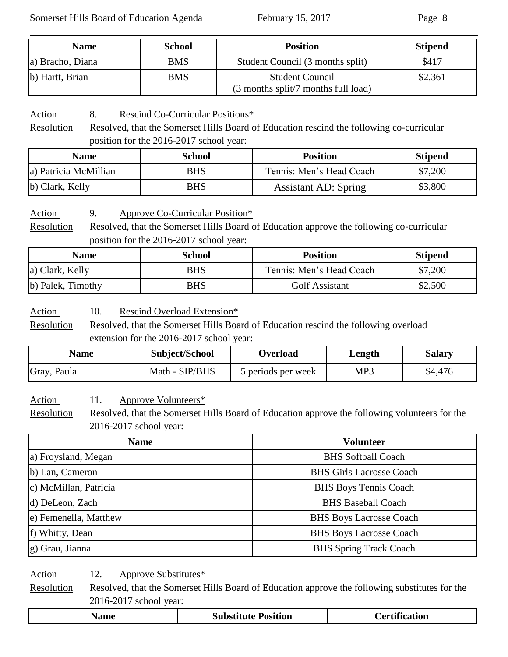| <b>Name</b>      | <b>School</b> | <b>Position</b>                                               | <b>Stipend</b> |
|------------------|---------------|---------------------------------------------------------------|----------------|
| a) Bracho, Diana | <b>BMS</b>    | Student Council (3 months split)                              | \$417          |
| b) Hartt, Brian  | <b>BMS</b>    | <b>Student Council</b><br>(3 months split/7 months full load) | \$2,361        |

 $\_$  , and the set of the set of the set of the set of the set of the set of the set of the set of the set of the set of the set of the set of the set of the set of the set of the set of the set of the set of the set of th

Action 8. Rescind Co-Curricular Positions\*

Resolution Resolved, that the Somerset Hills Board of Education rescind the following co-curricular position for the 2016-2017 school year:

| <b>Name</b>           | <b>School</b> | <b>Position</b>             | <b>Stipend</b> |
|-----------------------|---------------|-----------------------------|----------------|
| a) Patricia McMillian | BHS           | Tennis: Men's Head Coach    | \$7,200        |
| b) Clark, Kelly       | <b>BHS</b>    | <b>Assistant AD: Spring</b> | \$3,800        |

Action 9. Approve Co-Curricular Position\*

Resolution Resolved, that the Somerset Hills Board of Education approve the following co-curricular position for the 2016-2017 school year:

| <b>Name</b>       | <b>School</b> | <b>Position</b>          | <b>Stipend</b> |
|-------------------|---------------|--------------------------|----------------|
| a) Clark, Kelly   | BHS           | Tennis: Men's Head Coach | \$7,200        |
| b) Palek, Timothy | <b>BHS</b>    | <b>Golf Assistant</b>    | \$2,500        |

Action 10. Rescind Overload Extension\*

Resolution Resolved, that the Somerset Hills Board of Education rescind the following overload extension for the 2016-2017 school year:

| Name        | Subject/School | Overload           | Length | Salary  |
|-------------|----------------|--------------------|--------|---------|
| Gray, Paula | Math - SIP/BHS | 5 periods per week | MP3    | \$4,476 |

Action 11. Approve Volunteers\*

Resolution Resolved, that the Somerset Hills Board of Education approve the following volunteers for the 2016-2017 school year:

| <b>Name</b>           | <b>Volunteer</b>                |
|-----------------------|---------------------------------|
| a) Froysland, Megan   | <b>BHS</b> Softball Coach       |
| b) Lan, Cameron       | <b>BHS Girls Lacrosse Coach</b> |
| c) McMillan, Patricia | <b>BHS Boys Tennis Coach</b>    |
| d) DeLeon, Zach       | <b>BHS Baseball Coach</b>       |
| e) Femenella, Matthew | <b>BHS Boys Lacrosse Coach</b>  |
| f) Whitty, Dean       | <b>BHS Boys Lacrosse Coach</b>  |
| g) Grau, Jianna       | <b>BHS Spring Track Coach</b>   |

Action 12. Approve Substitutes\*

Resolution Resolved, that the Somerset Hills Board of Education approve the following substitutes for the 2016-2017 school year:

| _____ | sition<br>91 | $\bullet$ $\bullet$<br>$\sim$ $-$<br>vu |
|-------|--------------|-----------------------------------------|
|-------|--------------|-----------------------------------------|